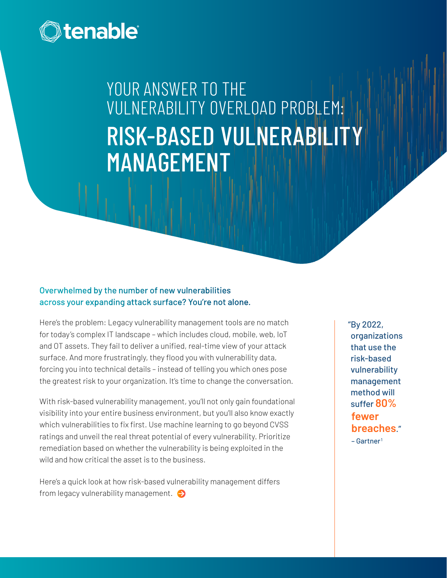

## YOUR ANSWER TO THE VULNERABILITY OVERLOAD PROBLEM: RISK-BASED VULNERABILITY MANAGEMENT

## Overwhelmed by the number of new vulnerabilities across your expanding attack surface? You're not alone.

Here's the problem: Legacy vulnerability management tools are no match for today's complex IT landscape – which includes cloud, mobile, web, IoT and OT assets. They fail to deliver a unified, real-time view of your attack surface. And more frustratingly, they flood you with vulnerability data, forcing you into technical details – instead of telling you which ones pose the greatest risk to your organization. It's time to change the conversation.

With risk-based vulnerability management, you'll not only gain foundational visibility into your entire business environment, but you'll also know exactly which vulnerabilities to fix first. Use machine learning to go beyond CVSS ratings and unveil the real threat potential of every vulnerability. Prioritize remediation based on whether the vulnerability is being exploited in the wild and how critical the asset is to the business.

Here's a quick look at how risk-based vulnerability management differs from legacy vulnerability management.  $\bigodot$ 

"By 2022, organizations that use the risk-based vulnerability management method will suffer **80% fewer breaches**." – Gartner1